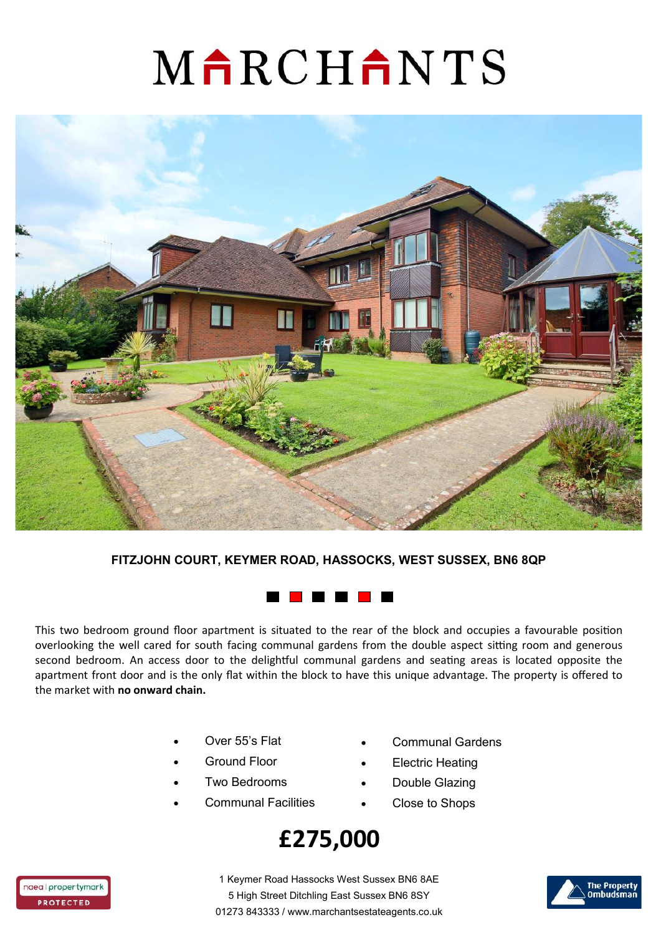# MARCHANTS



#### **FITZJOHN COURT, KEYMER ROAD, HASSOCKS, WEST SUSSEX, BN6 8QP**



This two bedroom ground floor apartment is situated to the rear of the block and occupies a favourable position overlooking the well cared for south facing communal gardens from the double aspect sitting room and generous second bedroom. An access door to the delightful communal gardens and seating areas is located opposite the apartment front door and is the only flat within the block to have this unique advantage. The property is offered to the market with **no onward chain.** 

- Over 55's Flat
- Ground Floor
- Two Bedrooms
- Communal Facilities
- Communal Gardens
- **Electric Heating**
- Double Glazing
- Close to Shops

### **£275,000**



1 Keymer Road Hassocks West Sussex BN6 8AE 5 High Street Ditchling East Sussex BN6 8SY 01273 843333 / www.marchantsestateagents.co.uk

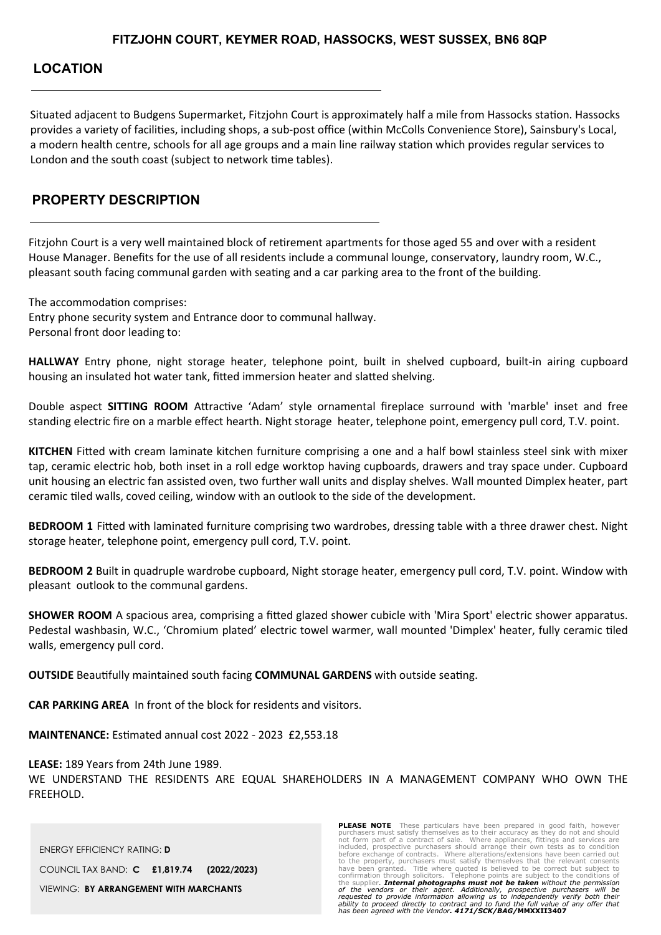#### **LOCATION**

Situated adjacent to Budgens Supermarket, Fitzjohn Court is approximately half a mile from Hassocks station. Hassocks provides a variety of facilities, including shops, a sub-post office (within McColls Convenience Store), Sainsbury's Local, a modern health centre, schools for all age groups and a main line railway station which provides regular services to London and the south coast (subject to network time tables).

#### **PROPERTY DESCRIPTION**

Fitzjohn Court is a very well maintained block of retirement apartments for those aged 55 and over with a resident House Manager. Benefits for the use of all residents include a communal lounge, conservatory, laundry room, W.C., pleasant south facing communal garden with seating and a car parking area to the front of the building.

The accommodation comprises:

Entry phone security system and Entrance door to communal hallway. Personal front door leading to:

**HALLWAY** Entry phone, night storage heater, telephone point, built in shelved cupboard, built-in airing cupboard housing an insulated hot water tank, fitted immersion heater and slatted shelving.

Double aspect **SITTING ROOM** Attractive 'Adam' style ornamental fireplace surround with 'marble' inset and free standing electric fire on a marble effect hearth. Night storage heater, telephone point, emergency pull cord, T.V. point.

**KITCHEN** Fitted with cream laminate kitchen furniture comprising a one and a half bowl stainless steel sink with mixer tap, ceramic electric hob, both inset in a roll edge worktop having cupboards, drawers and tray space under. Cupboard unit housing an electric fan assisted oven, two further wall units and display shelves. Wall mounted Dimplex heater, part ceramic tiled walls, coved ceiling, window with an outlook to the side of the development.

**BEDROOM 1** Fitted with laminated furniture comprising two wardrobes, dressing table with a three drawer chest. Night storage heater, telephone point, emergency pull cord, T.V. point.

**BEDROOM 2** Built in quadruple wardrobe cupboard, Night storage heater, emergency pull cord, T.V. point. Window with pleasant outlook to the communal gardens.

**SHOWER ROOM** A spacious area, comprising a fitted glazed shower cubicle with 'Mira Sport' electric shower apparatus. Pedestal washbasin, W.C., 'Chromium plated' electric towel warmer, wall mounted 'Dimplex' heater, fully ceramic tiled walls, emergency pull cord.

**OUTSIDE** Beautifully maintained south facing **COMMUNAL GARDENS** with outside seating.

**CAR PARKING AREA** In front of the block for residents and visitors.

**MAINTENANCE:** Estimated annual cost 2022 - 2023 £2,553.18

**LEASE:** 189 Years from 24th June 1989. WE UNDERSTAND THE RESIDENTS ARE EQUAL SHAREHOLDERS IN A MANAGEMENT COMPANY WHO OWN THE FREEHOLD.

ENERGY EFFICIENCY RATING: **D** COUNCIL TAX BAND: **C £1,819.74 (2022/2023)** VIEWING: **BY ARRANGEMENT WITH MARCHANTS**

**PLEASE NOTE** These particulars have been prepared in good faith, however purchasers must satisfy themselves as to their accuracy as they do not and should not form part of a contract of sale. Where appliances, fittings and services are included, prospective purchasers should arrange their own tests as to condition before exchange of contracts. Where alterations/extensions ha the supplier. *Internal photographs must not be taken without the permission*  of the vendors or their agent. Additionally, prospective purchasers will be<br>requested to provide information allowing us to independently verify both their<br>ability to proceed directly to contract and to fund the full value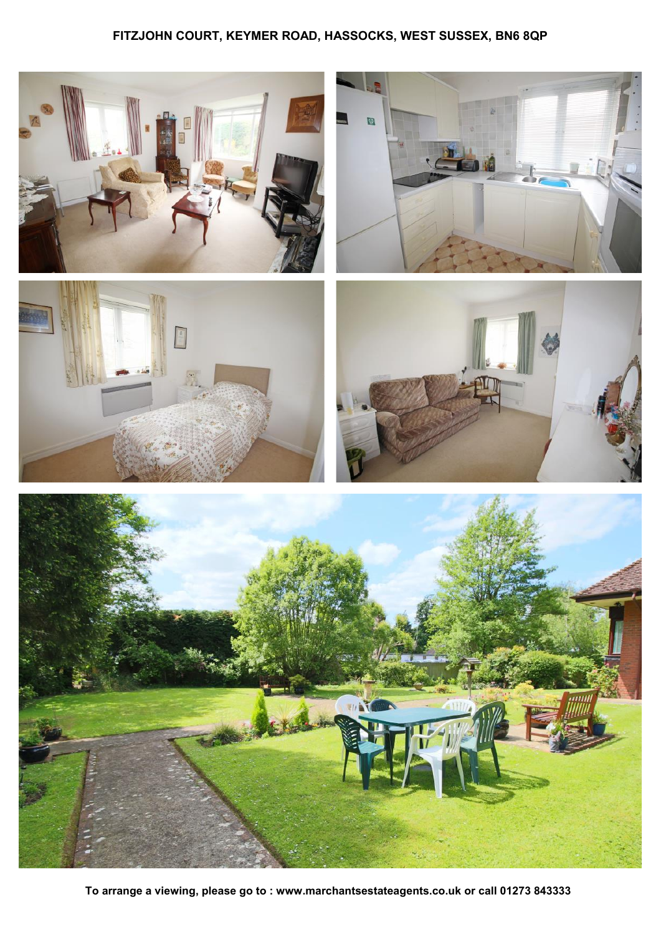#### **FITZJOHN COURT, KEYMER ROAD, HASSOCKS, WEST SUSSEX, BN6 8QP**



**To arrange a viewing, please go to : www.marchantsestateagents.co.uk or call 01273 843333**